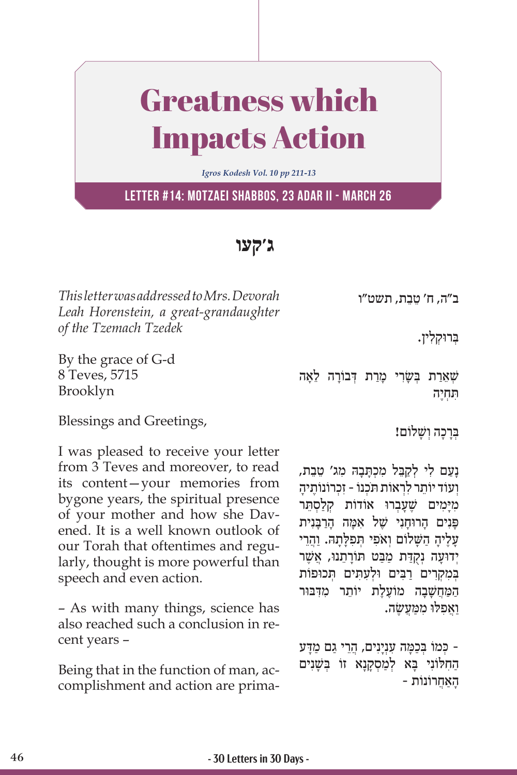## Greatness which Impacts Action

*Igros Kodesh Vol. 10 pp 211-13*

**Letter #14: Motzaei Shabbos, 23 Adar II - March 26**

**ג'קעו**

*This letter was addressed to Mrs. Devorah Leah Horenstein, a great-grandaughter of the Tzemach Tzedek* 

By the grace of G-d 8 Teves, 5715 Brooklyn

ב״ה, ח׳ טֵבֵת, תשט״ו

בְּרוּקִלְין.

שׁאַרַת בְּשַׂרִי מַרַת דְּבוֹרָה לָאָה ִּת ְחֶיה

Blessings and Greetings,

I was pleased to receive your letter from 3 Teves and moreover, to read its content—your memories from bygone years, the spiritual presence of your mother and how she Davened. It is a well known outlook of our Torah that oftentimes and regularly, thought is more powerful than speech and even action.

– As with many things, science has also reached such a conclusion in recent years –

Being that in the function of man, accomplishment and action are primaבְּרַכָה וְשָׁלוֹם!

ָנַעם לי לִקְבֵּל מכִתְּבהּ מג׳ טֶבֶת, וְעוֹד יוֹתֵר לִרְאוֹת תִּכְנוֹ - זכְרוֹנוֹתֵיה מִיָּמִים שֶׁעָבְרוּ אוֹדוֹת קְלַסְתֵּר פּנים הרוּחני של אמה הרבּנית ַעֲלֶיהָ הַשָּׁלוֹם וְאֹפִי תְּפִלְתָהּ. וַהֲרֵי יְדוּעָה נִקְדַת מַבַּט תּוֹרַתֵנוּ, אֲשֶׁר בִמקרים רבים וּלְעַתִּים תְּכוּפוֹת המחשבה מוֹעַלַת יוֹתֵר מדִבּוּר ַוֲא ִפ ּל ּו ִ מ ַּמֲע ֶשׂ ה.

ָ כּמוֹ בַכַמַּה עַנִינים, הרי גם מדע הַחִלּוֹנִי בָּא לְמַסְקָנָא זוֹ בִּשָּׁנִים ָהַאֲחרוֹ נוֹ ת -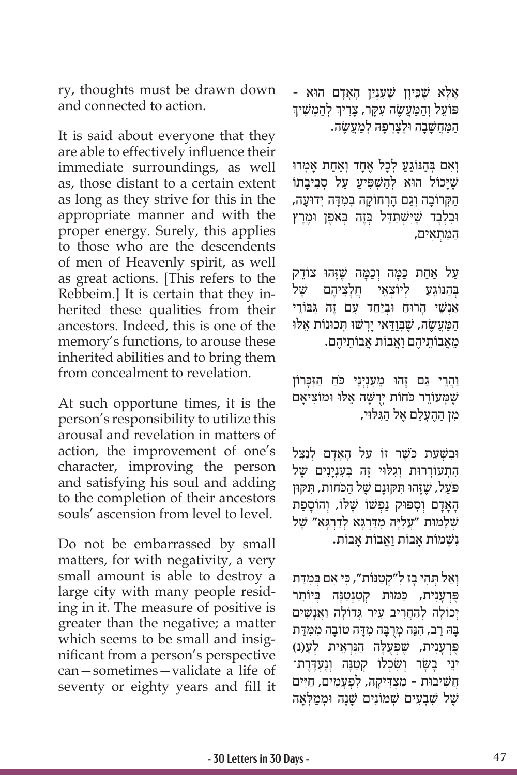ry, thoughts must be drawn down and connected to action.

It is said about everyone that they are able to effectively influence their immediate surroundings, as well as, those distant to a certain extent as long as they strive for this in the appropriate manner and with the proper energy. Surely, this applies to those who are the descendents of men of Heavenly spirit, as well as great actions. [This refers to the Rebbeim.] It is certain that they inherited these qualities from their ancestors. Indeed, this is one of the memory's functions, to arouse these inherited abilities and to bring them from concealment to revelation.

At such opportune times, it is the person's responsibility to utilize this arousal and revelation in matters of action, the improvement of one's character, improving the person and satisfying his soul and adding to the completion of their ancestors souls' ascension from level to level.

Do not be embarrassed by small matters, for with negativity, a very small amount is able to destroy a large city with many people residing in it. The measure of positive is greater than the negative; a matter which seems to be small and insignificant from a person's perspective can—sometimes—validate a life of seventy or eighty years and fill it ּאָלָא שֶׁכֵּיוָן שֶׁעַנְיַן הָאָדָם הוא -<br>פּוֹעל והמעשה עקר, צריד להמשיד ֧֧֧֖֖֖֖֖֖֧֚֚֚֚֚֚֚֚֝֝֬<u>֓</u> פּוֹעֵל וְהַמַּעֲשֶׂה עִקָּר, צָרִיךְ לְהַמְשִׁיךְ המחשבה וּלֹצרפה למעשׂה.

וְאִם בְּהַנּוֹגֵעַ לְכַל אֶחֲד וְאֵחַת אַמְרוּ שֶׁיָּכוֹל הוּא לְהַשְׁפִּיעַ עַל סְבִיבָתוֹ הַקְרוֹבָה וְגַם הָרְחוֹקָה בְּמִדָּה יְדוּעָה, וּבְלְבַד שֶׁיִּשְׁתַּדֶּל בְּזֶה בְּאֹפֵן וּמֶרֵץ ַה ַּמ ְת ִאים,

ַעַל אַחַת כַּמָּה וְכַמָּה שֶׁזֶּהוּ צוֹדֵק<br>בּהנּוֹגע ליוֹצאי חלציהם יֹזיל ַבְּהְנּוֹגַע לִיוֹצַאֵי חַלְצִיהָם אַנְשֵׁי הרוּח וּבִיחד עם זֶה גִּבּוֹרֵי הַמַּעֲשָׂה, שֶׁבְּוַדָּאי יַרְשׁוּ תְּכוּנוֹת אֱלוּ ְמֵאֲבוֹתֵיהֶם וַאֲבוֹת אֲבוֹתֵיהֶם.

וַהֲרֵי גַם זֶהוּ מֵעָנִיְנֵי כֹּחַ הַזִּכְּרוֹן שֶׁ ְּמ ֵעוֹ ר ְ ר כּ ֹחוֹ ת יֻרשָּׁ ֵה א ּל ּו ּ ו ִמוֹ צ ָיאם מו ההעלם אל הגלוי,

וּבשׁעת כֹּשֵׁר זוֹ על האדם לִנַצֵּל התעוֹררוּת וְגלוּי זֵה בַּעַנִינים שֵׁל ַפּעל, שֶׁזָּהוּ תּקוּנם שֵׁל הכֹחוֹת, תּקוּן הָאַדָם וְסִפּוּק נַפְשׁוֹ שֶׁלּוֹ, וְהוֹסַפַּת שְׁלֵמוּת "עֲלִיָּה מִדַּרְגָּא לְדַרְגָּא" שֶׁל ִנשׁ ְ ָ מוֹ ת א ַ בוֹ ת וֲא ָ בוֹ ת אבוֹ ת.

וְאַל תְּהִי בָז לְ"קְטַנּוֹת", כִּי אִם בְּמִדַּת פִּרְעֲנִית, כַּמּוּת קִטַנְטַנַּה בִּיוֹתֵר יְכוֹלָה לְהַחֲרִיב עִיר גְדוֹלָה וַאֲנָשִׁים ַבָּה רַב, הָנֵּה מְרָבַּה מִדָּה טוֹבָה מִמְדַּת ּפְּרְעָנִית, שֶׁפְּעֻלָּה הַנִּרְאֵית לְעֵ(נ) יִנֵי בָשָׂר וְשִׂכְלוֹ קְטַנָּה וְנֶעְדֶרֶת<sup>-</sup> חשׁיבוּת - מצִדּיקה, לפִעמים, חיּים שֵׁל שִׁבְעִים שַׁמוֹנים שִׁנה וּמִמִלְאָה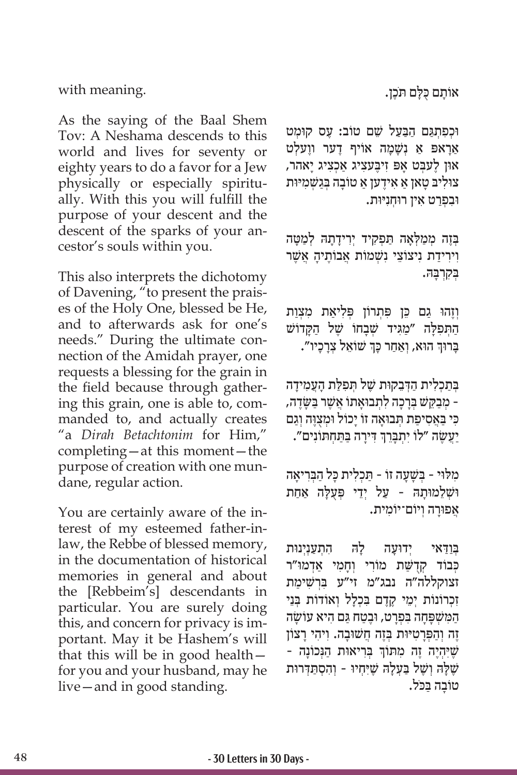eighty years to do a favor for a Jew

with meaning.

physically or especially spiritually. With this you will fulfill the purpose of your descent and the descent of the sparks of your ancestor's souls within you.

As the saying of the Baal Shem Tov: A Neshama descends to this world and lives for seventy or

This also interprets the dichotomy of Davening, "to present the praises of the Holy One, blessed be He, and to afterwards ask for one's needs." During the ultimate connection of the Amidah prayer, one requests a blessing for the grain in the field because through gathering this grain, one is able to, commanded to, and actually creates "a *Dirah Betachtonim* for Him," completing—at this moment—the purpose of creation with one mundane, regular action.

You are certainly aware of the interest of my esteemed father-inlaw, the Rebbe of blessed memory, in the documentation of historical memories in general and about the [Rebbeim's] descendants in particular. You are surely doing this, and concern for privacy is important. May it be Hashem's will that this will be in good health for you and your husband, may he live—and in good standing.

ּאוֹתָם כָלָם תֹּכֶן.

ּו ְכִפ ְתַּג ַם הַּבַעל שֵׁ ֶ ם טוֹ ב: ע ּ ס קו ְמט אַראפּ אַ *נִשַׁמַה אוֹיף ד*ָער ווַעלִט ּאו ֶ ן ל ְּעב ָט א ִפּ ז ֶּיב ִעצ ַ יג א ְכִצ ָ יג יאהר, צוּליב טאן א אידען א טוֹבה בִּגשַׁמיּוּת ּו ִב ְפַר ִט א ּ ין רו ְחִנּיּות.

ַבְּזֶה מְמַלְאָה תַּפְקִיד יִרְידָתָהּ לְמַטָּה וִירִידַת נִיצוֹצֵי נִשְׁמוֹת אֲבוֹתֵיהָ אֲשֶׁר ְּב ִקְרָּב ּה.

וְזֶהוּ גַם כֵּן פִּתְרוֹן פִּלִיאַת מִצִות הַתְּפִלָּה ״מַגִּיד שְׁבָחוֹ שֶׁל הַקָּדוֹשׁ ְבְּרוּךְ הוּא, וְאַחַר כְּךְ שׁוֹאֵל צְרָכָיו". ׅ֧֖֖֖֖֖֖֖֖֖֧֪֧֧֧֧֧֧֧֧֧֧֧֚֚֚֚֚֚֚֚֚֚֚֚֚֚֚֚֓֝֬֝֓֞֟֓֝֓֞֝֬֝֓֞֝֬֝֓֞֝֬֝֬֝֬֝֬֝֬֝֬֝֓֝֬֝֬֝֬֝֬֝֬֝֬֝֬֝֬֝

בְּתַכְלִית הַדְּבֵקוּת שֶׁל תְּפִלַּת הָעֲמִידָה -ְ מַב ֵּק ְּשׁ בָרָכ ִה ל ְת ּבוָא ֲ תוֹ אשֶׁ ַּר ב ָשּ ׂ ֶדה, כּי באסיפת תבואה זוֹ יכוֹל וּמִצוּה וגם ׅ֧֖֖֖֖֖֖֖֖֖֖ׅ֖ׅ֖ׅ֖֖ׅ֖֪ׅ֪֪ׅ֪֪֪֪ׅ֪֪֪ׅ֚֚֚֚֚֚֚֚֚֚֚֚֚֚֚֚֚֚֓֬֝֓֞֬֓֓֞֬֝֓֞֬֝֓֞֝֬֝֬֝֬֓֓֝֬֓֝֬֝֬ ַיַּעֲשֶׂה "לוֹ יִתְבָּרֵךְ דִּירָה בַּתַּחְתּוֹנִים".

מלוי - בַּשׁעַה זוֹ - תִּכְלִית כּל הבִריאה ּוּשְׁלֵמוּתָהּ - עַל יְדֵי פְּעֻלָּה אַחַת ְאֲפוּרָה וְיוֹם־יוֹמִית.

ַבּוִדאי ידוּעָה להּ התענינוּת כִּבוֹד קִדְשֵׁת מוֹרִי וְחַמִי אֲדְמוּ״ר זצוקללה"ה נבג"מ זי"ע בּרשׁימת זכרוֹנוֹת יְמֵי קָדָם בּכָלל וְאוֹדוֹת בַּנֵי ַה ִּמשׁ ְ פָּ ָח ִּה ב ְפָר ּט, וֶבַט ַּח ג ִם ה ָ יא עוֹ שׂ ה ֶזֶה וְהַפְּרָטִיּוּת בְּזֶה חֲשׁוּבָה. וְיהִי רַצוֹן ְּ יִהְיָה הָה מִתּוֹךְ בְּרִיאוּת הַגְּכוֹנָה -שֶׁלָּה וְשֶׁל בַּעֲלָה שֶׁיִּחְיוּ - וְהִסְתַּדְרוּת ָטוֹבָה בַּכֹּל.